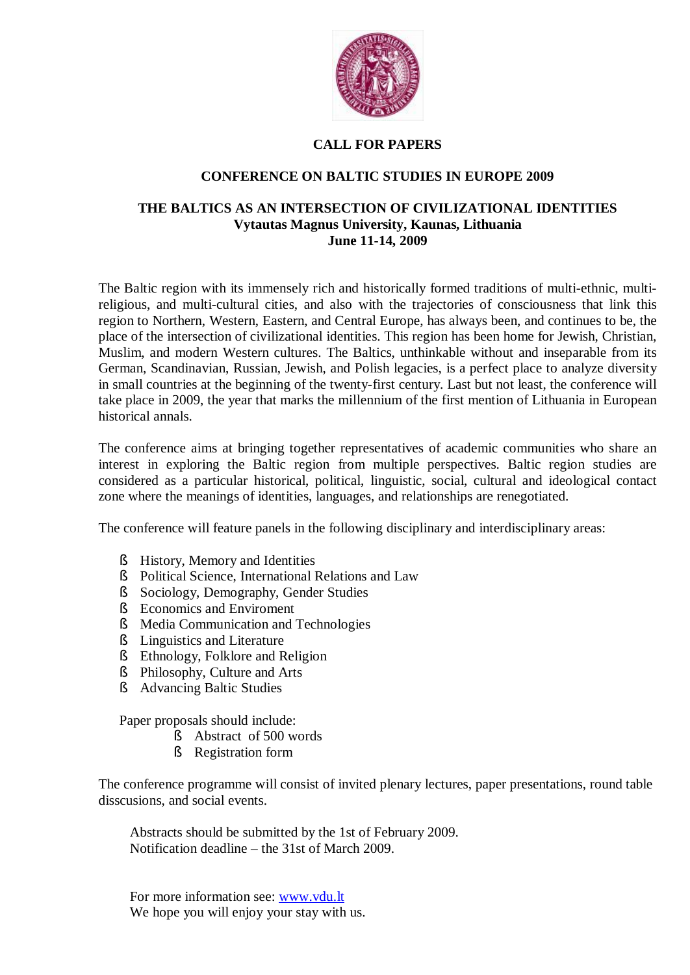

## **CALL FOR PAPERS**

## **CONFERENCE ON BALTIC STUDIES IN EUROPE 2009**

### **THE BALTICS AS AN INTERSECTION OF CIVILIZATIONAL IDENTITIES Vytautas Magnus University, Kaunas, Lithuania June 11-14, 2009**

The Baltic region with its immensely rich and historically formed traditions of multi-ethnic, multireligious, and multi-cultural cities, and also with the trajectories of consciousness that link this region to Northern, Western, Eastern, and Central Europe, has always been, and continues to be, the place of the intersection of civilizational identities. This region has been home for Jewish, Christian, Muslim, and modern Western cultures. The Baltics, unthinkable without and inseparable from its German, Scandinavian, Russian, Jewish, and Polish legacies, is a perfect place to analyze diversity in small countries at the beginning of the twenty-first century. Last but not least, the conference will take place in 2009, the year that marks the millennium of the first mention of Lithuania in European historical annals.

The conference aims at bringing together representatives of academic communities who share an interest in exploring the Baltic region from multiple perspectives. Baltic region studies are considered as a particular historical, political, linguistic, social, cultural and ideological contact zone where the meanings of identities, languages, and relationships are renegotiated.

The conference will feature panels in the following disciplinary and interdisciplinary areas:

- § History, Memory and Identities
- § Political Science, International Relations and Law
- § Sociology, Demography, Gender Studies
- § Economics and Enviroment
- § Media Communication and Technologies
- § Linguistics and Literature
- § Ethnology, Folklore and Religion
- § Philosophy, Culture and Arts
- § Advancing Baltic Studies

Paper proposals should include:

- § Abstract of 500 words
- § Registration form

The conference programme will consist of invited plenary lectures, paper presentations, round table disscusions, and social events.

Abstracts should be submitted by the 1st of February 2009. Notification deadline – the 31st of March 2009.

For more information see: [www.vdu.lt](#page-1-0) We hope you will enjoy your stay with us.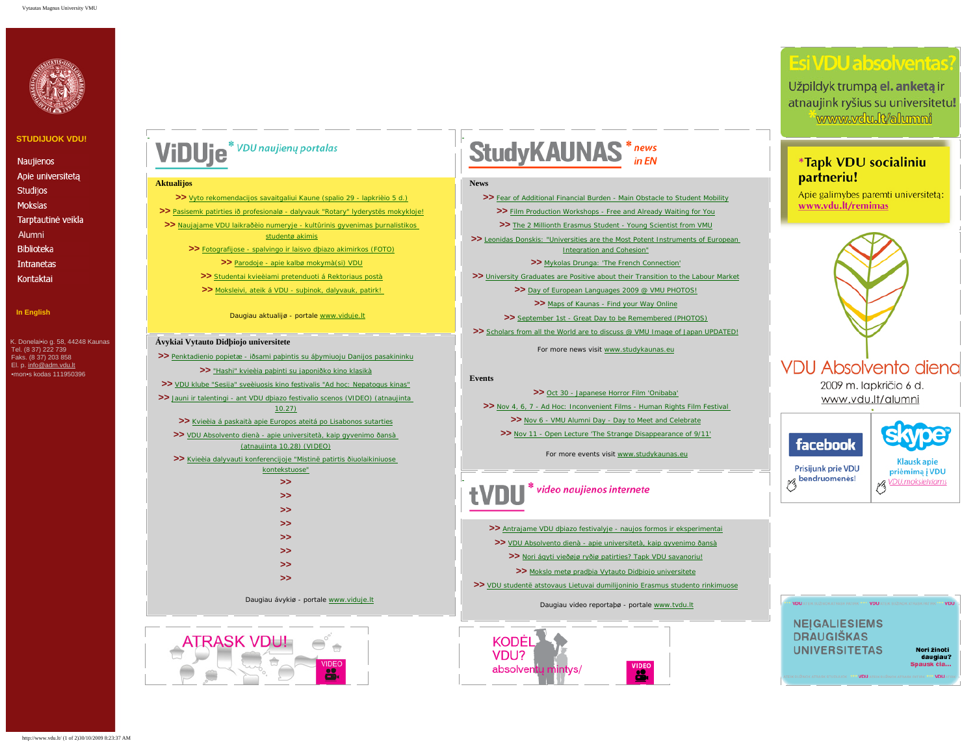

### **[STUDIJUOK VDU!](http://www.vdu.lt/priemimas/priemimas.html)**

Naujienos Apie universiteta **Studijos** Mokslas Tarptautinė veikla Alumni **Biblioteka** Intranetas Kontaktai

<span id="page-1-0"></span>**[In English](http://www.vdu.lt/frame.htm)**

 K. Donelai•io g. 58, 44248 Kaunas Tel. (8 37) 222 739 Faks. (8 37) 203 858 El. p. [info@adm.vdu.lt](mailto:info@adm.vdu.lt) •mon•s kodas 111950396

# ViDUje<sup>\* VDU</sup> naujienų portalas

#### **Aktualijos**

**>>** [Vyto rekomendacijos savaitgaliui Kaune \(spalio 29 - lapkrièio 5 d.\)](http://www.viduje.lt/?q=node/2982)

**>>** [Pasisemk patirties ið profesionalø - dalyvauk "Rotary" lyderystës mokykloje!](http://www.viduje.lt/?q=node/2974)

**>>** [Naujajame VDU laikraðèio numeryje - kultûrinis gyvenimas þurnalistikos](http://www.viduje.lt/?q=node/2968) [studentø akimis](http://www.viduje.lt/?q=node/2968)

**>>** [Fotografijose - spalvingo ir laisvo dþiazo akimirkos \(FOTO\)](http://www.viduje.lt/?q=node/2951)

**>>** [Parodoje - apie kalbø mokymà\(si\) VDU](http://www.viduje.lt/?q=node/2963) **>>** [Studentai kvieèiami pretenduoti á Rektoriaus postà](http://www.viduje.lt/?q=node/2956)

**>>** [Moksleivi, ateik á VDU - suþinok, dalyvauk, patirk!](http://www.viduje.lt/?q=node/2949)

Daugiau aktualijø - portale [www.viduje.lt](http://www.viduje.lt/)

### **Ávykiai Vytauto Didþiojo universitete**

**>>** [Penktadienio popietæ - iðsami paþintis su áþymiuoju Danijos pasakininku](http://www.viduje.lt/?q=node/2906) **>>** ["Hashi" kvieèia paþinti su japoniðko kino klasikà](http://www.viduje.lt/?q=node/2961) **>>** [VDU klube "Sesija" sveèiuosis kino festivalis "Ad hoc: Nepatogus kinas"](http://www.viduje.lt/?q=node/2965) **>>** [Jauni ir talentingi - ant VDU dþiazo festivalio scenos \(VIDEO\) \(atnaujinta](http://www.viduje.lt/?q=node/2806)  [10.27\)](http://www.viduje.lt/?q=node/2806) **>>** [Kvieèia á paskaità apie Europos ateitá po Lisabonos sutarties](http://www.viduje.lt/?q=node/2970) **>>** [VDU Absolvento dienà - apie universitetà, kaip gyvenimo ðansà](http://www.viduje.lt/?q=node/2685)  [\(atnaujinta 10.28\) \(VIDEO\)](http://www.viduje.lt/?q=node/2685) **>>** [Kvieèia dalyvauti konferencijoje "Mistinë patirtis ðiuolaikiniuose](http://www.viduje.lt/?q=node/2496) [kontekstuose"](http://www.viduje.lt/?q=node/2496) **>> >> >> >> >> >> >> >>** Daugiau ávykiø - portale [www.viduje.lt](http://www.viduje.lt/)



# **StudyKAUNAS** \*news

#### **News**

**>>** [Fear of Additional Financial Burden - Main Obstacle to Student Mobility](http://www.studykaunas.eu/?q=node/1618) **>>** [Film Production Workshops - Free and Already Waiting for You](http://www.studykaunas.eu/?q=node/1616) **>>** [The 2 Millionth Erasmus Student - Young Scientist from VMU](http://www.studykaunas.eu/?q=node/1581) **>>** [Leonidas Donskis: "Universities are the Most Potent Instruments of European](http://www.studykaunas.eu/?q=node/1548)  [Integration and Cohesion"](http://www.studykaunas.eu/?q=node/1548) **>>** [Mykolas Drunga: 'The French Connection'](http://www.studykaunas.eu/?q=node/1535) **>>** [University Graduates are Positive about their Transition to the Labour Market](http://www.studykaunas.eu/?q=node/1529) >> [Day of European Languages 2009 @ VMU PHOTOS!](http://www.studykaunas.eu/?q=node/1520) **>>** [Maps of Kaunas - Find your Way Online](http://www.studykaunas.eu/?q=node/1504) **>>** [September 1st - Great Day to be Remembered \(PHOTOS\)](http://www.studykaunas.eu/?q=node/1490) >> [Scholars from all the World are to discuss @ VMU Image of Japan UPDATED!](http://www.studykaunas.eu/?q=node/1500) For more news visit [www.studykaunas.eu](http://www.studykaunas.eu/)

### **Events**

**>>** [Oct 30 - Japanese Horror Film 'Onibaba'](http://www.studykaunas.eu/?q=node/1627) **>>** [Nov 4, 6, 7 - Ad Hoc: Inconvenient Films - Human Rights Film Festival](http://www.studykaunas.eu/?q=node/1633)  **>>** [Nov 6 - VMU Alumni Day - Day to Meet and Celebrate](http://www.studykaunas.eu/?q=node/1527) **>>** [Nov 11 - Open Lecture 'The Strange Disappearance of 9/11'](http://www.studykaunas.eu/?q=node/1636)

For more events visit [www.studykaunas.eu](http://www.studykaunas.eu/)

# video naujienos internete

**>>** [Antrajame VDU dþiazo festivalyje - naujos formos ir eksperimentai](http://www.tvdu.lt/?q=node/283) **>>** [VDU Absolvento dienà - apie universitetà, kaip gyvenimo ðansà](http://www.tvdu.lt/?q=node/281) **>>** [Nori ágyti vieðøjø ryðiø patirties? Tapk VDU savanoriu!](http://www.tvdu.lt/?q=node/280) **>>** [Mokslo metø pradþia Vytauto Didþiojo universitete](http://www.tvdu.lt/?q=node/261) **>>** [VDU studentë atstovaus Lietuvai dumilijoninio Erasmus studento rinkimuose](http://www.tvdu.lt/?q=node/256)

Daugiau video reportaþø - portale [www.tvdu.lt](http://www.tvdu.lt/)



# **Esi VDU absolventas**

Užpildyk trumpa el. anketa ir atnaujink ryšius su universitetu! www.vdu.lt/alumni

### \*Tapk VDU socialiniu partneriu!

Apie galimybes paremti universitetą: www.vdu.lt/remimas



Prisijunk prie VDU Prisijunk prie VDU<br>|- bendruomenės<br>|-

priėmimą į VDU **priémimą į VDU**<br>*M* VDU moksleiviams

**NEIGALIESIEMS DRAUGIŠKAS UNIVERSITETAS** 

VDU A

.<br>VDU ateik sužinok atrask patirk <sup>1949</sup> VDU ateik s

Nori žinoti daugiau? Spausk čia..